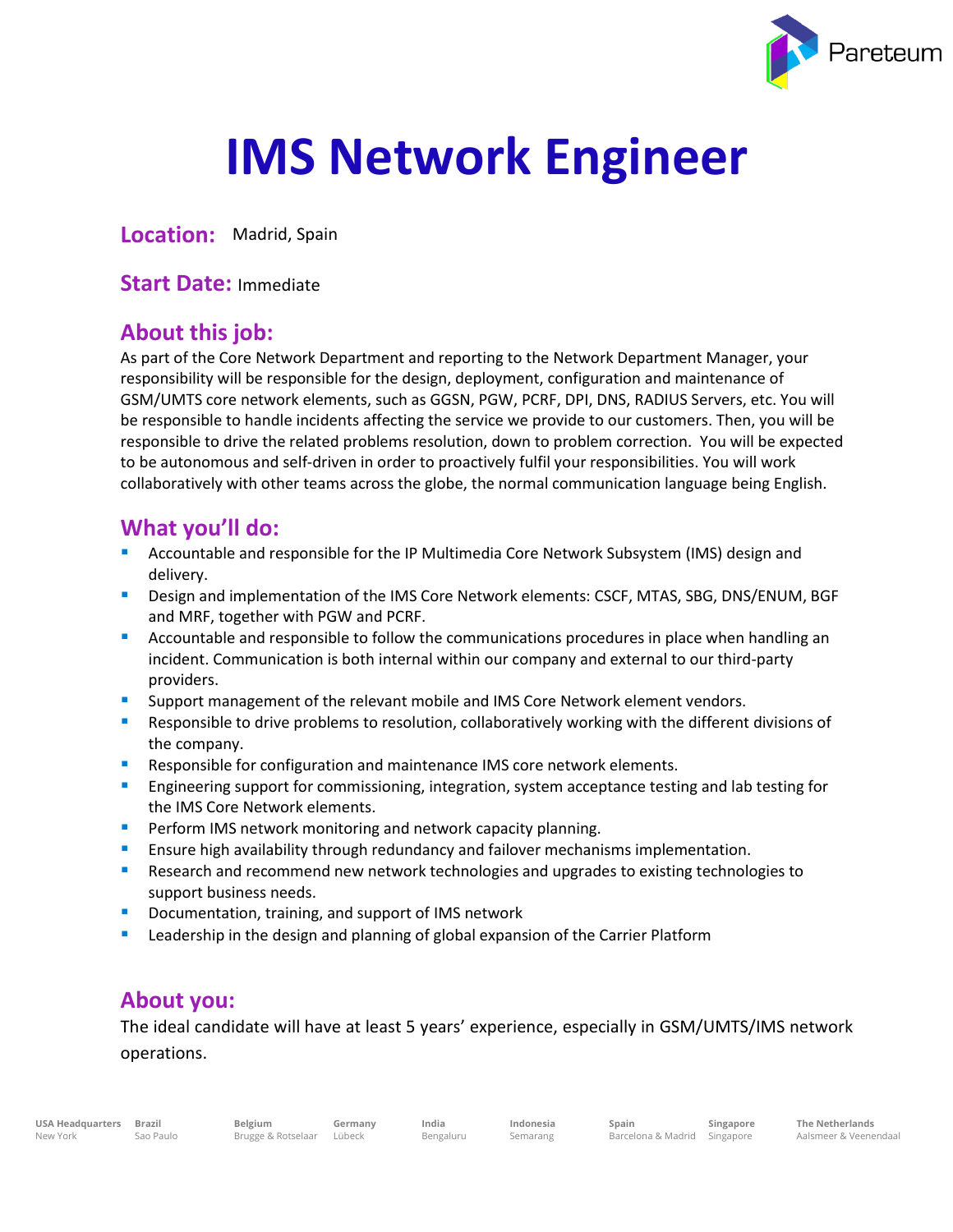

# **IMS Network Engineer**

**Location:** Madrid, Spain

**Start Date:** Immediate

#### **About this job:**

As part of the Core Network Department and reporting to the Network Department Manager, your responsibility will be responsible for the design, deployment, configuration and maintenance of GSM/UMTS core network elements, such as GGSN, PGW, PCRF, DPI, DNS, RADIUS Servers, etc. You will be responsible to handle incidents affecting the service we provide to our customers. Then, you will be responsible to drive the related problems resolution, down to problem correction. You will be expected to be autonomous and self-driven in order to proactively fulfil your responsibilities. You will work collaboratively with other teams across the globe, the normal communication language being English.

### **What you'll do:**

- Accountable and responsible for the IP Multimedia Core Network Subsystem (IMS) design and delivery.
- **E** Design and implementation of the IMS Core Network elements: CSCF, MTAS, SBG, DNS/ENUM, BGF and MRF, together with PGW and PCRF.
- **E** Accountable and responsible to follow the communications procedures in place when handling an incident. Communication is both internal within our company and external to our third-party providers.
- **E** Support management of the relevant mobile and IMS Core Network element vendors.
- **E** Responsible to drive problems to resolution, collaboratively working with the different divisions of the company.
- **E** Responsible for configuration and maintenance IMS core network elements.
- **Example 2** Engineering support for commissioning, integration, system acceptance testing and lab testing for the IMS Core Network elements.
- **Perform IMS network monitoring and network capacity planning.**
- **E** Ensure high availability through redundancy and failover mechanisms implementation.
- Research and recommend new network technologies and upgrades to existing technologies to support business needs.
- Documentation, training, and support of IMS network
- **EXECT** Leadership in the design and planning of global expansion of the Carrier Platform

#### **About you:**

The ideal candidate will have at least 5 years' experience, especially in GSM/UMTS/IMS network operations.

**Germany India** Bengaluru **Indonesia** Semarang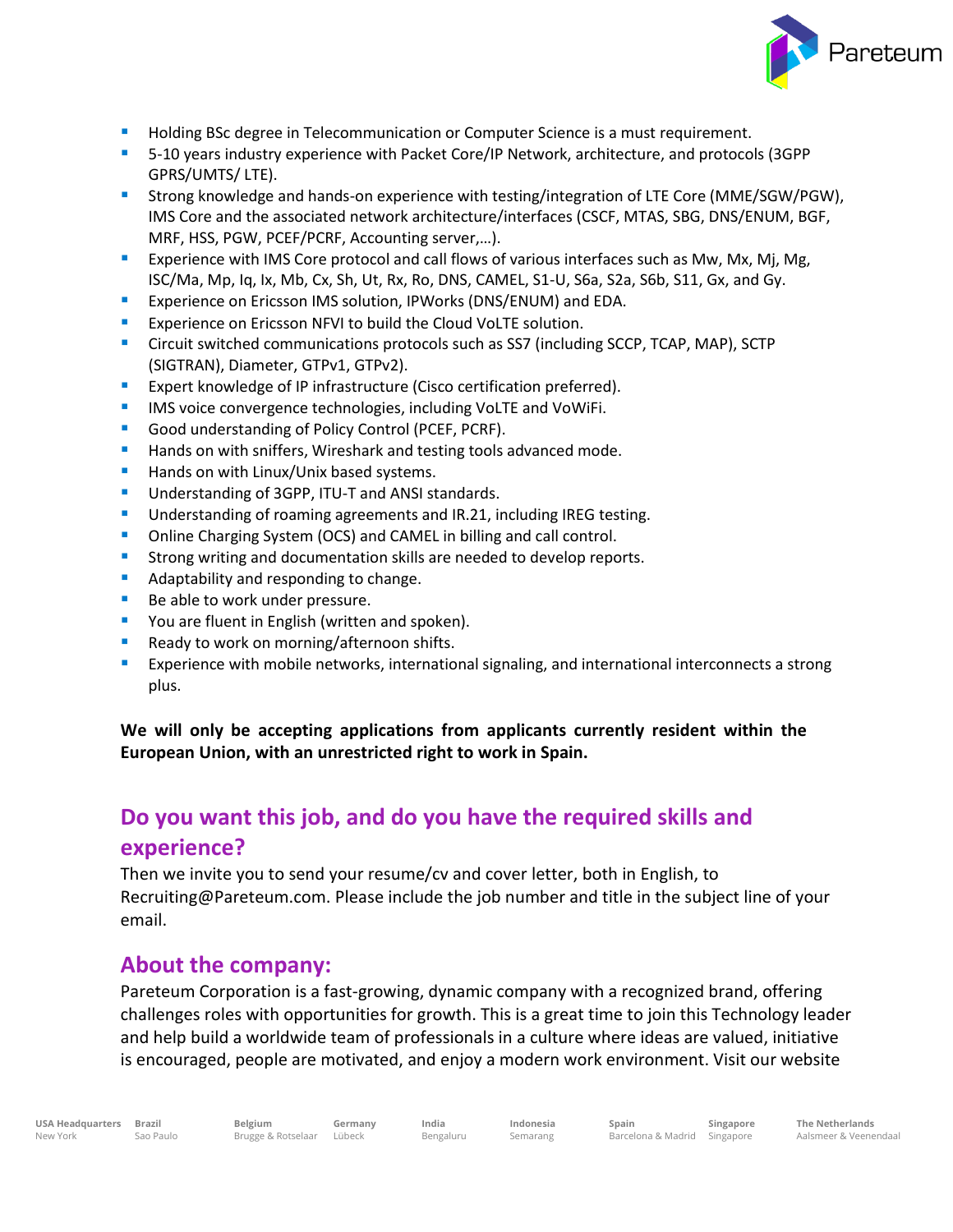

- Holding BSc degree in Telecommunication or Computer Science is a must requirement.
- 5-10 years industry experience with Packet Core/IP Network, architecture, and protocols (3GPP GPRS/UMTS/ LTE).
- **E** Strong knowledge and hands-on experience with testing/integration of LTE Core (MME/SGW/PGW), IMS Core and the associated network architecture/interfaces (CSCF, MTAS, SBG, DNS/ENUM, BGF, MRF, HSS, PGW, PCEF/PCRF, Accounting server,…).
- **EXPERIEG 2** Experience with IMS Core protocol and call flows of various interfaces such as Mw, Mx, Mj, Mg, ISC/Ma, Mp, Iq, Ix, Mb, Cx, Sh, Ut, Rx, Ro, DNS, CAMEL, S1-U, S6a, S2a, S6b, S11, Gx, and Gy.
- Experience on Ericsson IMS solution, IPWorks (DNS/ENUM) and EDA.
- Experience on Ericsson NFVI to build the Cloud VoLTE solution.
- **E** Circuit switched communications protocols such as SS7 (including SCCP, TCAP, MAP), SCTP (SIGTRAN), Diameter, GTPv1, GTPv2).
- Expert knowledge of IP infrastructure (Cisco certification preferred).
- **EXECT** IMS voice convergence technologies, including VoLTE and VoWiFi.
- Good understanding of Policy Control (PCEF, PCRF).
- Hands on with sniffers, Wireshark and testing tools advanced mode.
- Hands on with Linux/Unix based systems.
- Understanding of 3GPP, ITU-T and ANSI standards.
- Understanding of roaming agreements and IR.21, including IREG testing.
- Online Charging System (OCS) and CAMEL in billing and call control.
- Strong writing and documentation skills are needed to develop reports.
- Adaptability and responding to change.
- Be able to work under pressure.
- You are fluent in English (written and spoken).
- Ready to work on morning/afternoon shifts.
- **EXPERIENCE 12** Experience with mobile networks, international signaling, and international interconnects a strong plus.

**We will only be accepting applications from applicants currently resident within the European Union, with an unrestricted right to work in Spain.**

## **Do you want this job, and do you have the required skills and experience?**

Then we invite you to send your resume/cv and cover letter, both in English, to Recruiting@Pareteum.com. Please include the job number and title in the subject line of your email.

#### **About the company:**

Pareteum Corporation is a fast-growing, dynamic company with a recognized brand, offering challenges roles with opportunities for growth. This is a great time to join this Technology leader and help build a worldwide team of professionals in a culture where ideas are valued, initiative is encouraged, people are motivated, and enjoy a modern work environment. Visit our website

**Belgium**

Brugge & Rotselaar Lübeck **Germany**

**India** Bengaluru **Indonesia** Semarang

**Spain**

Barcelona & Madrid Singapore **Singapore**

**The Netherlands** Aalsmeer & Veenendaal